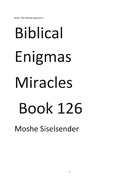Book 126 Biblical questions

# **Biblical Enigmas Miracles Book 126**

**Moshe Siselsender**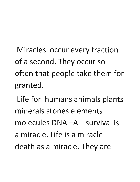Miracles occur every fraction of a second. They occur so often that people take them for **granted.** 

**Life for humans animals plants minerals stones elements molecules** DNA **-All survival is a miracle. Life is a miracle death as a miracle. They are**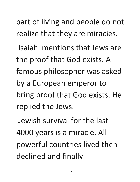part of living and people do not **realize that they are miracles.** 

**Isaiah mentions that Jews are**  the proof that God exists. A famous philosopher was asked **by a European emperor to bring proof that God exists. He replied the Jews.** 

**Jewish survival for the last**  4000 years is a miracle. All powerful countries lived then **declined and finally**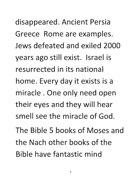disappeared. Ancient Persia Greece Rome are examples. Jews defeated and exiled 2000 years ago still exist. Israel is resurrected in its national home. Every day it exists is a miracle. One only need open their eyes and they will hear smell see the miracle of God. The Bible 5 books of Moses and the Nach other books of the

Bible have fantastic mind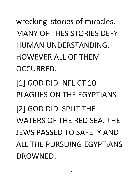wrecking stories of miracles. MANY OF THES STORIES DEFY HUMAN UNDERSTANDING. HOWEVER ALL OF THEM OCCURRED. [1] GOD DID INFLICT 10 PLAGUES ON THE EGYPTIANS [2] GOD DID SPLIT THE WATERS OF THE RED SEA. THE JEWS PASSED TO SAFETY AND ALL THE PURSUING EGYPTIANS DROWNED.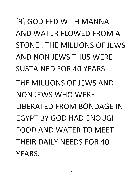[3] GOD FED WITH MANNA AND WATER FLOWED FROM A STONE. THE MILLIONS OF JEWS AND NON JEWS THUS WERE SUSTAINED FOR 40 YEARS. THE MILLIONS OF JEWS AND NON JEWS WHO WERE LIBERATED FROM BONDAGE IN EGYPT BY GOD HAD ENOUGH FOOD AND WATER TO MEET THEIR DAILY NEEDS FOR 40 YEARS.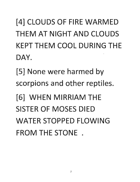[4] CLOUDS OF FIRE WARMED THEM AT NIGHT AND CLOUDS KEPT THEM COOL DURING THE DAY.

[5] None were harmed by scorpions and other reptiles.

[6] WHEN MIRRIAM THE SISTER OF MOSES DIED WATER STOPPED FLOWING FROM THE STONE .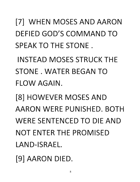[7] WHEN MOSES AND AARON DEFIED GOD'S COMMAND TO SPEAK TO THE STONE.

INSTEAD MOSES STRUCK THE STONE. WATER BEGAN TO FLOW AGAIN.

[8] HOWEVER MOSES AND AARON WERE PUNISHED. BOTH WERE SENTENCED TO DIE AND NOT ENTER THE PROMISED LAND-ISRAEL.

[9] AARON DIED.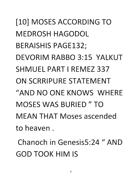[10] MOSES ACCORDING TO MEDROSH HAGODOL BERAISHIS PAGE132; DEVORIM RABBO 3:15 YALKUT SHMUEL PART I REMEZ 337 ON SCRRIPURE STATEMENT "AND NO ONE KNOWS WHERE MOSES WAS BURIED " TO MEAN THAT Moses ascended to heaven.

Chanoch in Genesis5:24 " AND GOD TOOK HIM IS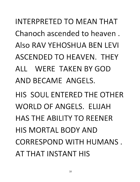INTERPRETED TO MEAN THAT Chanoch ascended to heaven. Also RAV YEHOSHUA BEN LEVI ASCENDED TO HEAVEN. THEY ALL WERE TAKEN BY GOD AND BECAME ANGELS.

HIS SOUL ENTERED THE OTHER WORLD OF ANGELS. ELIJAH HAS THE ABILITY TO REENER HIS MORTAL BODY AND CORRESPOND WITH HUMANS. AT THAT INSTANT HIS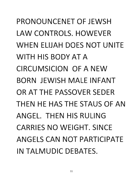PRONOUNCENET OF JEWSH LAW CONTROLS. HOWEVER WHEN ELIJAH DOES NOT UNITE WITH HIS BODY AT A CIRCUMSICION OF A NEW BORN JEWISH MALE INFANT OR AT THE PASSOVER SEDER THEN HE HAS THE STAUS OF AN ANGEL. THEN HIS RULING CARRIES NO WEIGHT. SINCE ANGELS CAN NOT PARTICIPATE IN TALMUDIC DEBATES.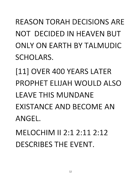### REASON TORAH DECISIONS ARE NOT DECIDED IN HEAVEN BUT ONLY ON EARTH BY TALMUDIC SCHOLARS.

[11] OVER 400 YEARS LATER PROPHET ELIJAH WOULD ALSO **LEAVE THIS MUNDANE** EXISTANCE AND BECOME AN ANGEL.

MELOCHIM **II** 2:1 2:11 2:12 DESCRIBES THE EVENT.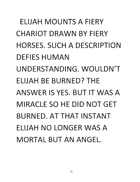ELIJAH MOUNTS A FIERY CHARIOT DRAWN BY FIERY HORSES. SUCH A DESCRIPTION DEFIES HUMAN UNDERSTANDING. WOULDN'T ELIJAH BE BURNED? THE . ANSWER IS YES. BUT IT WAS A MIRACLE SO HE DID NOT GET BURNED. AT THAT INSTANT ELIJAH NO LONGER WAS A MORTAL BUT AN ANGEL.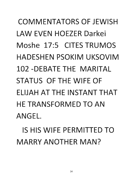## COMMENTATORS OF JEWISH LAW EVEN HOEZER Darkei Moshe 17:5 CITES TRUMOS HADESHEN PSOKIM UKSOVIM 102 -DEBATE THE MARITAL STATUS OF THE WIFE OF ELIJAH AT THE INSTANT THAT HE TRANSFORMED TO AN ANGEL.

IS HIS WIFE PERMITTED TO MARRY ANOTHER MAN?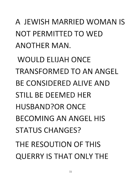A JEWISH MARRIED WOMAN IS NOT PERMITTED TO WED ANOTHER MAN.

WOULD ELIJAH ONCE TRANSFORMED TO AN ANGEL BE CONSIDERED ALIVE AND STILL BE DEEMED HER HUSBAND?OR ONCE BECOMING AN ANGEL HIS STATUS CHANGES? THE RESOUTION OF THIS QUERRY IS THAT ONLY THE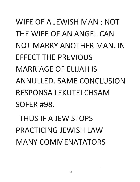WIFE OF A JEWISH MAN; NOT THE WIFE OF AN ANGEL CAN NOT MARRY ANOTHER MAN. IN EFFECT THE PREVIOUS MARRIAGE OF ELIJAH IS ANNULLED. SAME CONCLUSION RESPONSA LEKUTEI CHSAM SOFER #98.

THUS IF A JEW STOPS PRACTICING JEWISH LAW MANY COMMENATATORS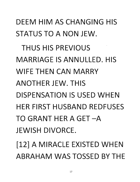#### DEEM HIM AS CHANGING HIS STATUS TO A NON JEW.

THUS HIS PREVIOUS MARRIAGE IS ANNULLED. HIS WIFE THEN CAN MARRY ANOTHER JEW. THIS DISPENSATION IS USED WHEN HER FIRST HUSBAND REDFUSES TO GRANT HER A GET-A JEWISH DIVORCE.

[12] A MIRACLE EXISTED WHEN ABRAHAM WAS TOSSED BY THE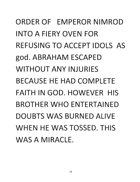ORDER OF EMPEROR NIMROD INTO A FIERY OVEN FOR REFUSING TO ACCEPT IDOLS AS god. ABRAHAM ESCAPED WITHOUT ANY INJURIES BECAUSE HE HAD COMPLETE FAITH IN GOD. HOWEVER HIS BROTHER WHO ENTERTAINED DOUBTS WAS BURNED ALIVE WHEN HE WAS TOSSED. THIS WAS A MIRACLE.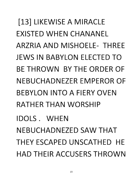[13] LIKEWISE A MIRACLE EXISTED WHEN CHANANEL ARZRIA AND MISHOELE- THREE JEWS IN BABYLON ELECTED TO BE THROWN BY THE ORDER OF NEBUCHADNEZER EMPEROR OF BEBYLON INTO A FIERY OVEN RATHER THAN WORSHIP IDOLS. WHEN NEBUCHADNEZED SAW THAT THEY ESCAPED UNSCATHED HE HAD THEIR ACCUSERS THROWN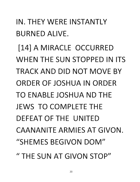IN. THEY WERE INSTANTLY BURNED ALIVE. [14] A MIRACLE OCCURRED WHEN THE SUN STOPPED IN ITS TRACK AND DID NOT MOVE BY ORDER OF JOSHUA IN ORDER TO ENABLE JOSHUA ND THE JEWS TO COMPLETE THE DEFEAT OF THE UNITED CAANANITE ARMIES AT GIVON. "SHEMES BEGIVON DOM" . "THE SUN AT GIVON STOP"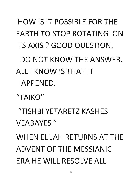HOW IS IT POSSIBLE FOR THE EARTH TO STOP ROTATING ON ITS AXIS? GOOD QUESTION.

I DO NOT KNOW THE ANSWER. ALL I KNOW IS THAT IT HAPPENED.

"TAIKO"

"TISHBI YETARETZ KASHES VEABAYES "

WHEN ELIJAH RETURNS AT THE ADVENT OF THE MESSIANIC ERA HE WILL RESOLVE ALL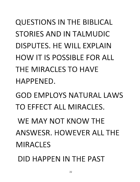QUESTIONS IN THE BIBLICAL STORIES AND IN TALMUDIC DISPUTES. HE WILL EXPLAIN HOW IT IS POSSIBLE FOR ALL THE MIRACLES TO HAVE HAPPENED.

GOD EMPLOYS NATURAL LAWS TO EFFECT ALL MIRACLES.

WE MAY NOT KNOW THE ANSWESR. HOWEVER ALL THE MIRACLES

DID HAPPEN IN THE PAST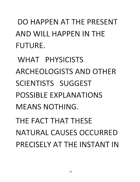DO HAPPEN AT THE PRESENT AND WILL HAPPEN IN THE FUTURE.

WHAT PHYSICISTS ARCHEOLOGISTS AND OTHER SCIENTISTS SUGGEST POSSIBLE EXPLANATIONS MEANS NOTHING.

THE FACT THAT THESE NATURAL CAUSES OCCURRED PRECISELY AT THE INSTANT IN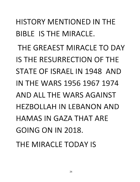#### HISTORY MENTIONED IN THE BIBLE IS THE MIRACLE.

THE GREAEST MIRACLE TO DAY IS THE RESURRECTION OF THE STATE OF ISRAEL IN 1948 AND IN THE WARS 1956 1967 1974 AND ALL THE WARS AGAINST HEZBOLLAH IN LEBANON AND HAMAS IN GAZA THAT ARE GOING ON IN 2018.

THE MIRACLE TODAY IS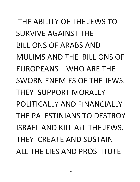THE ABILITY OF THE JEWS TO SURVIVE AGAINST THE BILLIONS OF ARABS AND MULIMS AND THE BILLIONS OF EUROPEANS WHO ARE THE SWORN ENEMIES OF THE JEWS. THEY SUPPORT MORALLY POLITICALLY AND FINANCIALLY THE PALESTINIANS TO DESTROY ISRAEL AND KILL ALL THE JEWS. THEY CREATE AND SUSTAIN ALL THE LIES AND PROSTITUTE